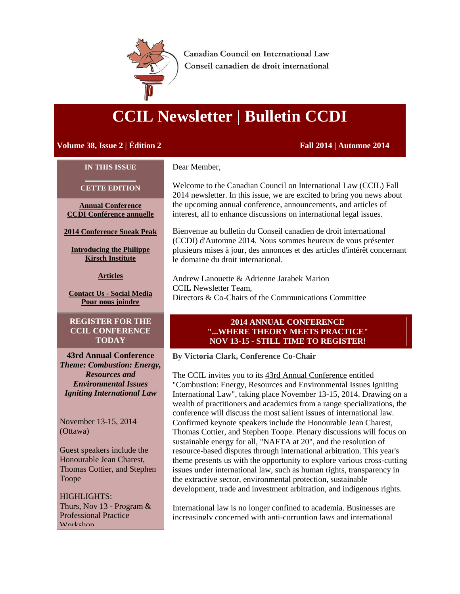<span id="page-0-0"></span>

**Canadian Council on International Law** Conseil canadien de droit international

# **CCIL Newsletter | Bulletin CCDI**

# **Volume 38, Issue 2 | Édition 2 Fall 2014 | Automne 2014**

#### **IN THIS ISSUE**

**CETTE EDITION**

**[Annual Conference](#page-0-0) [CCDI Conférence annuelle](#page-0-0)**

**[2014 Conference Sneak Peak](#page-1-0)**

**[Introducing the Philippe](#page-3-0)  [Kirsch Institute](#page-3-0)**

**[Articles](#page-4-0)**

**Contact Us - [Social Media](#page-6-0) [Pour nous joindre](#page-6-0)**

**REGISTER FOR THE CCIL CONFERENCE TODAY**

**43rd Annual Conference** *Theme: Combustion: Energy, Resources and Environmental Issues Igniting International Law*

November 13-15, 2014 (Ottawa)

Guest speakers include the Honourable Jean Charest, Thomas Cottier, and Stephen Toope

HIGHLIGHTS: Thurs, Nov 13 - Program  $\&$ Professional Practice Workshop

Dear Member,

Welcome to the Canadian Council on International Law (CCIL) Fall 2014 newsletter. In this issue, we are excited to bring you news about the upcoming annual conference, announcements, and articles of interest, all to enhance discussions on international legal issues.

Bienvenue au bulletin du Conseil canadien de droit international (CCDI) d'Automne 2014. Nous sommes heureux de vous présenter plusieurs mises à jour, des annonces et des articles d'intérêt concernant le domaine du droit international.

Andrew Lanouette & Adrienne Jarabek Marion CCIL Newsletter Team, Directors & Co-Chairs of the Communications Committee

## **2014 ANNUAL CONFERENCE "...WHERE THEORY MEETS PRACTICE" NOV 13-15 - STILL TIME TO REGISTER!**

**By Victoria Clark, Conference Co-Chair**

The CCIL invites you to its [43rd Annual Conference](http://r20.rs6.net/tn.jsp?e=00173Tat2KUJ90u1qYmZBygynvb_CGBp0OxQEcY70XaVoB5ZNNhB0oIOZlva8R3_1DlYcGgVGXdMCspG7J6X_Z7NMiELds8MIRAPmSCRbbUxCVXI3qy46q63IxuHk0nuZHvxgwtA5Tdjw0=) entitled "Combustion: Energy, Resources and Environmental Issues Igniting International Law", taking place November 13-15, 2014. Drawing on a wealth of practitioners and academics from a range specializations, the conference will discuss the most salient issues of international law. Confirmed keynote speakers include the Honourable Jean Charest, Thomas Cottier, and Stephen Toope. Plenary discussions will focus on sustainable energy for all, "NAFTA at 20", and the resolution of resource-based disputes through international arbitration. This year's theme presents us with the opportunity to explore various cross-cutting issues under international law, such as human rights, transparency in the extractive sector, environmental protection, sustainable development, trade and investment arbitration, and indigenous rights.

International law is no longer confined to academia. Businesses are increasingly concerned with anti-corruption laws and international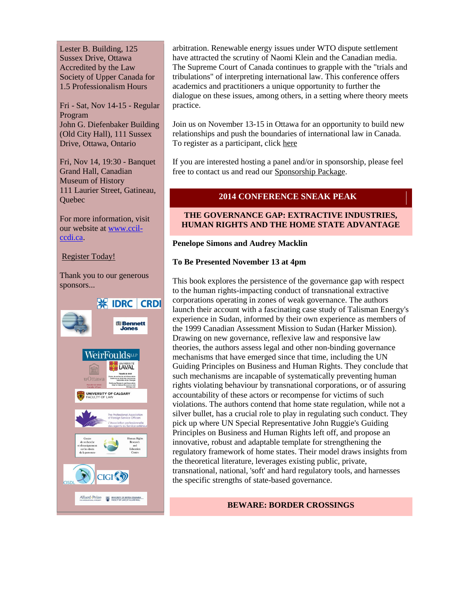<span id="page-1-0"></span>Lester B. Building, 125 Sussex Drive, Ottawa Accredited by the Law Society of Upper Canada for 1.5 Professionalism Hours

Fri - Sat, Nov 14-15 - Regular Program John G. Diefenbaker Building (Old City Hall), 111 Sussex Drive, Ottawa, Ontario

Fri, Nov 14, 19:30 - Banquet Grand Hall, Canadian Museum of History 111 Laurier Street, Gatineau, **Ouebec** 

For more information, visit our website at [www.ccil](http://www.ccil-ccdi.ca/)[ccdi.ca.](http://www.ccil-ccdi.ca/)

[Register Today!](http://r20.rs6.net/tn.jsp?e=00173Tat2KUJ90u1qYmZBygynvb_CGBp0OxQEcY70XaVoB5ZNNhB0oIOZlva8R3_1DlYcGgVGXdMCspG7J6X_Z7NMiELds8MIRAPmSCRbbUxCVXI3qy46q63IxuHk0nuZHvxgwtA5Tdjw0=)

Thank you to our generous sponsors...



arbitration. Renewable energy issues under WTO dispute settlement have attracted the scrutiny of Naomi Klein and the Canadian media. The Supreme Court of Canada continues to grapple with the "trials and tribulations" of interpreting international law. This conference offers academics and practitioners a unique opportunity to further the dialogue on these issues, among others, in a setting where theory meets practice.

Join us on November 13-15 in Ottawa for an opportunity to build new relationships and push the boundaries of international law in Canada. To register as a participant, click [here](http://r20.rs6.net/tn.jsp?e=00173Tat2KUJ90u1qYmZBygynvb_CGBp0OxQEcY70XaVoB5ZNNhB0oIOZlva8R3_1DlYcGgVGXdMCspG7J6X_Z7NMiELds8MIRAPmSCRbbUxCVXI3qy46q63IxuHk0nuZHvxgwtA5Tdjw0=)

If you are interested hosting a panel and/or in sponsorship, please feel free to contact us and read our [Sponsorship Package.](http://r20.rs6.net/tn.jsp?e=00173Tat2KUJ90u1qYmZBygynvb_CGBp0OxQEcY70XaVoB5ZNNhB0oIOZlva8R3_1DlYcGgVGXdMCspG7J6X_Z7NMiELds8MIRAOletDNowIbIYj54c8iH65C3hLANZX3BqmpGP7iYJIZHFnyCPOqBZoNqRfuM8umIQLzUAimgVGbWbBlGZMzEyeYzq2u8J9vUuPmg1vVyR-2GURK64nGQsSZpO2CEA-GWoTdu3gAuyNDGOqnzX3jhHDOTFRoyprvJfukV3rdboLTFbe29-gKOw0Nv2HaZ0jfV6)

# **2014 CONFERENCE SNEAK PEAK**

# **THE GOVERNANCE GAP: EXTRACTIVE INDUSTRIES, HUMAN RIGHTS AND THE HOME STATE ADVANTAGE**

## **Penelope Simons and Audrey Macklin**

# **To Be Presented November 13 at 4pm**

This book explores the persistence of the governance gap with respect to the human rights-impacting conduct of transnational extractive corporations operating in zones of weak governance. The authors launch their account with a fascinating case study of Talisman Energy's experience in Sudan, informed by their own experience as members of the 1999 Canadian Assessment Mission to Sudan (Harker Mission). Drawing on new governance, reflexive law and responsive law theories, the authors assess legal and other non-binding governance mechanisms that have emerged since that time, including the UN Guiding Principles on Business and Human Rights. They conclude that such mechanisms are incapable of systematically preventing human rights violating behaviour by transnational corporations, or of assuring accountability of these actors or recompense for victims of such violations. The authors contend that home state regulation, while not a silver bullet, has a crucial role to play in regulating such conduct. They pick up where UN Special Representative John Ruggie's Guiding Principles on Business and Human Rights left off, and propose an innovative, robust and adaptable template for strengthening the regulatory framework of home states. Their model draws insights from the theoretical literature, leverages existing public, private, transnational, national, 'soft' and hard regulatory tools, and harnesses the specific strengths of state-based governance.

# **BEWARE: BORDER CROSSINGS**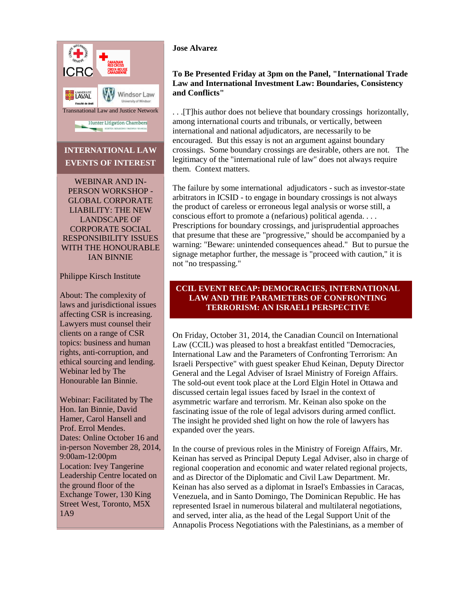

# **INTERNATIONAL LAW EVENTS OF INTEREST**

WEBINAR AND IN-PERSON WORKSHOP - GLOBAL CORPORATE LIABILITY: THE NEW LANDSCAPE OF CORPORATE SOCIAL RESPONSIBILITY ISSUES WITH THE HONOURABLE IAN BINNIE

## Philippe Kirsch Institute

About: The complexity of laws and jurisdictional issues affecting CSR is increasing. Lawyers must counsel their clients on a range of CSR topics: business and human rights, anti-corruption, and ethical sourcing and lending. Webinar led by The Honourable Ian Binnie.

Webinar: Facilitated by The Hon. Ian Binnie, David Hamer, Carol Hansell and Prof. Errol Mendes. Dates: Online October 16 and in-person November 28, 2014, 9:00am-12:00pm Location: Ivey Tangerine Leadership Centre located on the ground floor of the Exchange Tower, 130 King Street West, Toronto, M5X 1A9

# **Jose Alvarez**

# **To Be Presented Friday at 3pm on the Panel, "International Trade Law and International Investment Law: Boundaries, Consistency and Conflicts"**

. . .[T]his author does not believe that boundary crossings horizontally, among international courts and tribunals, or vertically, between international and national adjudicators, are necessarily to be encouraged. But this essay is not an argument against boundary crossings. Some boundary crossings are desirable, others are not. The legitimacy of the "international rule of law" does not always require them. Context matters.

The failure by some international adjudicators - such as investor-state arbitrators in ICSID - to engage in boundary crossings is not always the product of careless or erroneous legal analysis or worse still, a conscious effort to promote a (nefarious) political agenda. . . . Prescriptions for boundary crossings, and jurisprudential approaches that presume that these are "progressive," should be accompanied by a warning: "Beware: unintended consequences ahead." But to pursue the signage metaphor further, the message is "proceed with caution," it is not "no trespassing."

# **CCIL EVENT RECAP: DEMOCRACIES, INTERNATIONAL LAW AND THE PARAMETERS OF CONFRONTING TERRORISM: AN ISRAELI PERSPECTIVE**

On Friday, October 31, 2014, the Canadian Council on International Law (CCIL) was pleased to host a breakfast entitled "Democracies, International Law and the Parameters of Confronting Terrorism: An Israeli Perspective" with guest speaker Ehud Keinan, Deputy Director General and the Legal Adviser of Israel Ministry of Foreign Affairs. The sold-out event took place at the Lord Elgin Hotel in Ottawa and discussed certain legal issues faced by Israel in the context of asymmetric warfare and terrorism. Mr. Keinan also spoke on the fascinating issue of the role of legal advisors during armed conflict. The insight he provided shed light on how the role of lawyers has expanded over the years.

In the course of previous roles in the Ministry of Foreign Affairs, Mr. Keinan has served as Principal Deputy Legal Adviser, also in charge of regional cooperation and economic and water related regional projects, and as Director of the Diplomatic and Civil Law Department. Mr. Keinan has also served as a diplomat in Israel's Embassies in Caracas, Venezuela, and in Santo Domingo, The Dominican Republic. He has represented Israel in numerous bilateral and multilateral negotiations, and served, inter alia, as the head of the Legal Support Unit of the Annapolis Process Negotiations with the Palestinians, as a member of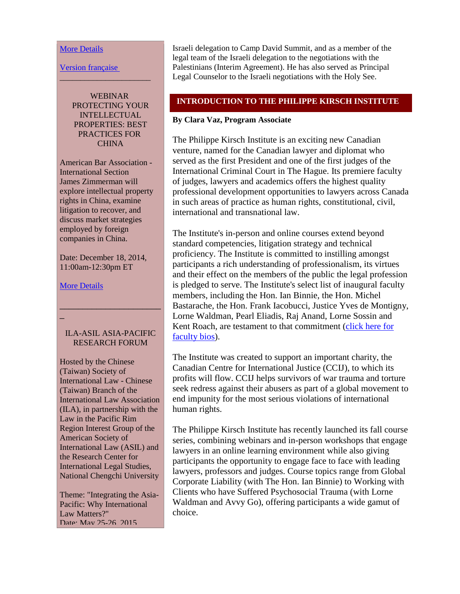#### <span id="page-3-0"></span>[More Details](http://r20.rs6.net/tn.jsp?e=00173Tat2KUJ90u1qYmZBygynvb_CGBp0OxQEcY70XaVoB5ZNNhB0oIOZlva8R3_1DlYcGgVGXdMCuEUGPcHeAj3BvongYig1YXZjHapKYjmAySzoz5Ph1NTCQAm6wP0pkXNwlu1P3hLV4MyP1YSs9eCk9XQKY-o7MGq73rZYk6Y5N032uOEPjQLDueXSnFzCpEpdYbPvmX36gITmEb_Rkg6sxJMDzyvTTFPcZZJnWT_wtURXziIzdwxxK3wz-FUOJZ)

[Version française](http://r20.rs6.net/tn.jsp?e=00173Tat2KUJ90u1qYmZBygynvb_CGBp0OxQEcY70XaVoB5ZNNhB0oIOZlva8R3_1DlOGbesAbCHFGF-JvzjMJGR9L4b5PKcbMmGLWmLoGT9J3YkQ597FnIokn9LxL-0273z2dBOQJNn76xOgiF5aMUKW7i73Z4Y_OaJZzuE_UpjZN3ihbnnSTy1N7a-rN2tX9isGxiIvm1tAQ=)

WEBINAR PROTECTING YOUR **INTELLECTUAL** PROPERTIES: BEST PRACTICES FOR **CHINA** 

\_\_\_\_\_\_\_\_\_\_\_\_\_\_\_\_\_\_\_\_\_\_

American Bar Association - International Section James Zimmerman will explore intellectual property rights in China, examine litigation to recover, and discuss market strategies employed by foreign companies in China.

Date: December 18, 2014, 11:00am-12:30pm ET

#### [More Details](http://r20.rs6.net/tn.jsp?e=00173Tat2KUJ90u1qYmZBygynvb_CGBp0OxQEcY70XaVoB5ZNNhB0oIOZlva8R3_1DlYcGgVGXdMCuxuAtX1HbcrlgbUKQoXmJ-k68bPCnFxdS0xmb9a8JZ2rCoXHBMjlaU8zzwyz0QB__mCx_5m-iPBO5RccQfn55_VWBvjx2rSXE4CCFlNLW12RCn7uKMAg5ivrUy7dn7Be0=)

\_

## ILA-ASIL ASIA-PACIFIC RESEARCH FORUM

\_\_\_\_\_\_\_\_\_\_\_\_\_\_\_\_\_\_\_\_\_\_

Hosted by the Chinese (Taiwan) Society of International Law - Chinese (Taiwan) Branch of the International Law Association (ILA), in partnership with the Law in the Pacific Rim Region Interest Group of the American Society of International Law (ASIL) and the Research Center for International Legal Studies, National Chengchi University

Theme: "Integrating the Asia-Pacific: Why International Law Matters?" Date: May 25-26, 2015

Israeli delegation to Camp David Summit, and as a member of the legal team of the Israeli delegation to the negotiations with the Palestinians (Interim Agreement). He has also served as Principal Legal Counselor to the Israeli negotiations with the Holy See.

# **INTRODUCTION TO THE PHILIPPE KIRSCH INSTITUTE**

# **By Clara Vaz, Program Associate**

The Philippe Kirsch Institute is an exciting new Canadian venture, named for the Canadian lawyer and diplomat who served as the first President and one of the first judges of the International Criminal Court in The Hague. Its premiere faculty of judges, lawyers and academics offers the highest quality professional development opportunities to lawyers across Canada in such areas of practice as human rights, constitutional, civil, international and transnational law.

The Institute's in-person and online courses extend beyond standard competencies, litigation strategy and technical proficiency. The Institute is committed to instilling amongst participants a rich understanding of professionalism, its virtues and their effect on the members of the public the legal profession is pledged to serve. The Institute's select list of inaugural faculty members, including the Hon. Ian Binnie, the Hon. Michel Bastarache, the Hon. Frank Iacobucci, Justice Yves de Montigny, Lorne Waldman, Pearl Eliadis, Raj Anand, Lorne Sossin and Kent Roach, are testament to that commitment [\(click here for](http://r20.rs6.net/tn.jsp?e=00173Tat2KUJ90u1qYmZBygynvb_CGBp0OxQEcY70XaVoB5ZNNhB0oIOZlva8R3_1DlYcGgVGXdMCuEUGPcHeAj3BvongYig1YXZjHapKYjmAzSSoLOqPOJTM1To8bXfYWG)  [faculty bios\)](http://r20.rs6.net/tn.jsp?e=00173Tat2KUJ90u1qYmZBygynvb_CGBp0OxQEcY70XaVoB5ZNNhB0oIOZlva8R3_1DlYcGgVGXdMCuEUGPcHeAj3BvongYig1YXZjHapKYjmAzSSoLOqPOJTM1To8bXfYWG).

The Institute was created to support an important charity, the Canadian Centre for International Justice (CCIJ), to which its profits will flow. CCIJ helps survivors of war trauma and torture seek redress against their abusers as part of a global movement to end impunity for the most serious violations of international human rights.

The Philippe Kirsch Institute has recently launched its fall course series, combining webinars and in-person workshops that engage lawyers in an online learning environment while also giving participants the opportunity to engage face to face with leading lawyers, professors and judges. Course topics range from Global Corporate Liability (with The Hon. Ian Binnie) to Working with Clients who have Suffered Psychosocial Trauma (with Lorne Waldman and Avvy Go), offering participants a wide gamut of choice.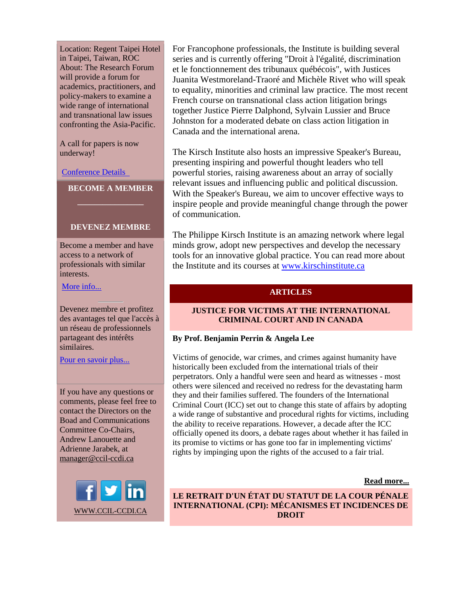<span id="page-4-0"></span>Location: Regent Taipei Hotel in Taipei, Taiwan, ROC About: The Research Forum will provide a forum for academics, practitioners, and policy-makers to examine a wide range of international and transnational law issues confronting the Asia-Pacific.

A call for papers is now underway!

[Conference Details](http://r20.rs6.net/tn.jsp?e=00173Tat2KUJ90u1qYmZBygynvb_CGBp0OxQEcY70XaVoB5ZNNhB0oIOZlva8R3_1DlYcGgVGXdMCtktTllaitJIn3ckbxVyVPNGg-2CxYbV9XrltHJGwPSkvsjG5MnEm7z) 

**BECOME A MEMBER \_\_\_\_\_\_\_\_\_\_\_\_\_\_\_\_**

## **DEVENEZ MEMBRE**

Become a member and have access to a network of professionals with similar interests.

More [info...](http://r20.rs6.net/tn.jsp?e=00173Tat2KUJ90u1qYmZBygynvb_CGBp0OxQEcY70XaVoB5ZNNhB0oIOZlva8R3_1DlYcGgVGXdMCspG7J6X_Z7NMiELds8MIRAfZz635YKIPZy0WEdD9zhbomhFLlgQBlt)

Devenez membre et profitez des avantages tel que l'accès à un réseau de professionnels partageant des intérêts similaires.

[Pour en savoir plus...](http://r20.rs6.net/tn.jsp?e=00173Tat2KUJ90u1qYmZBygynvb_CGBp0OxQEcY70XaVoB5ZNNhB0oIOZlva8R3_1DlYcGgVGXdMCshORn6dAuCg7aEcyw_vXyHwhlJ0QrDJGG8OPScU8evUahza0BvYkqBYy8VKwAtb7-XK9u0By5JapulX-iC4jOajL_c4etZiEc=)

If you have any questions or comments, please feel free to contact the Directors on the Boad and Communications Committee Co-Chairs, Andrew Lanouette and Adrienne Jarabek, at [manager@ccil-ccdi.ca](mailto:manager@ccil-ccdi.ca)



For Francophone professionals, the Institute is building several series and is currently offering "Droit à l'égalité, discrimination et le fonctionnement des tribunaux québécois", with Justices Juanita Westmoreland-Traoré and Michèle Rivet who will speak to equality, minorities and criminal law practice. The most recent French course on transnational class action litigation brings together Justice Pierre Dalphond, Sylvain Lussier and Bruce Johnston for a moderated debate on class action litigation in Canada and the international arena.

The Kirsch Institute also hosts an impressive Speaker's Bureau, presenting inspiring and powerful thought leaders who tell powerful stories, raising awareness about an array of socially relevant issues and influencing public and political discussion. With the Speaker's Bureau, we aim to uncover effective ways to inspire people and provide meaningful change through the power of communication.

The Philippe Kirsch Institute is an amazing network where legal minds grow, adopt new perspectives and develop the necessary tools for an innovative global practice. You can read more about the Institute and its courses at [www.kirschinstitute.ca](http://r20.rs6.net/tn.jsp?e=00173Tat2KUJ90u1qYmZBygynvb_CGBp0OxQEcY70XaVoB5ZNNhB0oIOZlva8R3_1DlYcGgVGXdMCuEUGPcHeAj3BvongYig1YXZjHapKYjmAzF-1vB5VqtAg==)

## **ARTICLES**

# **JUSTICE FOR VICTIMS AT THE INTERNATIONAL CRIMINAL COURT AND IN CANADA**

## **By Prof. Benjamin Perrin & Angela Lee**

Victims of genocide, war crimes, and crimes against humanity have historically been excluded from the international trials of their perpetrators. Only a handful were seen and heard as witnesses - most others were silenced and received no redress for the devastating harm they and their families suffered. The founders of the International Criminal Court (ICC) set out to change this state of affairs by adopting a wide range of substantive and procedural rights for victims, including the ability to receive reparations. However, a decade after the ICC officially opened its doors, a debate rages about whether it has failed in its promise to victims or has gone too far in implementing victims' rights by impinging upon the rights of the accused to a fair trial.

#### **[Read more...](http://r20.rs6.net/tn.jsp?e=00173Tat2KUJ90u1qYmZBygynvb_CGBp0OxQEcY70XaVoB5ZNNhB0oIOZlva8R3_1DlOGbesAbCHFGF-JvzjMJGR9L4b5PKcbMmGLWmLoGT9J3YkQ597FnIokn9LxL-0273z2dBOQJNn76xOgiF5aMUKW7i73Z4Y_OakqpWb_b4TwCrmqH3Uvg_D8Ia46C9LORUsah0jhLhatU=)**

**LE RETRAIT D'UN ÉTAT DU STATUT DE LA COUR PÉNALE INTERNATIONAL (CPI): MÉCANISMES ET INCIDENCES DE DROIT**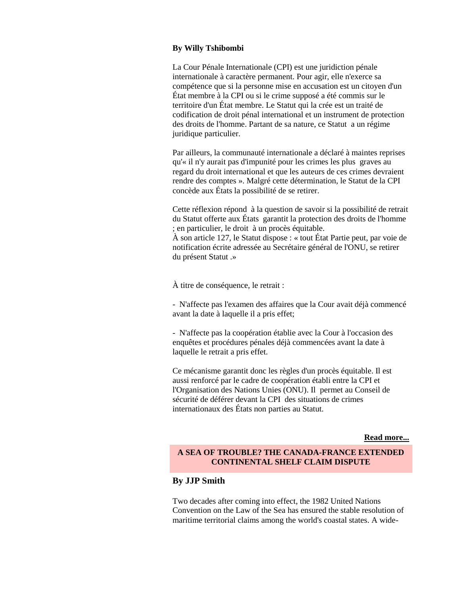#### **By Willy Tshibombi**

La Cour Pénale Internationale (CPI) est une juridiction pénale internationale à caractère permanent. Pour agir, elle n'exerce sa compétence que si la personne mise en accusation est un citoyen d'un État membre à la CPI ou si le crime supposé a été commis sur le territoire d'un État membre. Le Statut qui la crée est un traité de codification de droit pénal international et un instrument de protection des droits de l'homme. Partant de sa nature, ce Statut a un régime juridique particulier.

Par ailleurs, la communauté internationale a déclaré à maintes reprises qu'« il n'y aurait pas d'impunité pour les crimes les plus graves au regard du droit international et que les auteurs de ces crimes devraient rendre des comptes ». Malgré cette détermination, le Statut de la CPI concède aux États la possibilité de se retirer.

Cette réflexion répond à la question de savoir si la possibilité de retrait du Statut offerte aux États garantit la protection des droits de l'homme ; en particulier, le droit à un procès équitable.

À son article 127, le Statut dispose : « tout État Partie peut, par voie de notification écrite adressée au Secrétaire général de l'ONU, se retirer du présent Statut .»

À titre de conséquence, le retrait :

- N'affecte pas l'examen des affaires que la Cour avait déjà commencé avant la date à laquelle il a pris effet;

- N'affecte pas la coopération établie avec la Cour à l'occasion des enquêtes et procédures pénales déjà commencées avant la date à laquelle le retrait a pris effet.

Ce mécanisme garantit donc les règles d'un procès équitable. Il est aussi renforcé par le cadre de coopération établi entre la CPI et l'Organisation des Nations Unies (ONU). Il permet au Conseil de sécurité de déférer devant la CPI des situations de crimes internationaux des États non parties au Statut.

**[Read more...](http://r20.rs6.net/tn.jsp?e=00173Tat2KUJ90u1qYmZBygynvb_CGBp0OxQEcY70XaVoB5ZNNhB0oIOZlva8R3_1DlOGbesAbCHFGF-JvzjMJGR9L4b5PKcbMmGLWmLoGT9J3YkQ597FnIokn9LxL-0273z2dBOQJNn76xOgiF5aMUKW7i73Z4Y_Oal7loGKDygwpTs-FEGcV1VVptCN4MXMymSCpP0Si0LVA=)**

## **A SEA OF TROUBLE? THE CANADA-FRANCE EXTENDED CONTINENTAL SHELF CLAIM DISPUTE**

# **By JJP Smith**

Two decades after coming into effect, the 1982 United Nations Convention on the Law of the Sea has ensured the stable resolution of maritime territorial claims among the world's coastal states. A wide